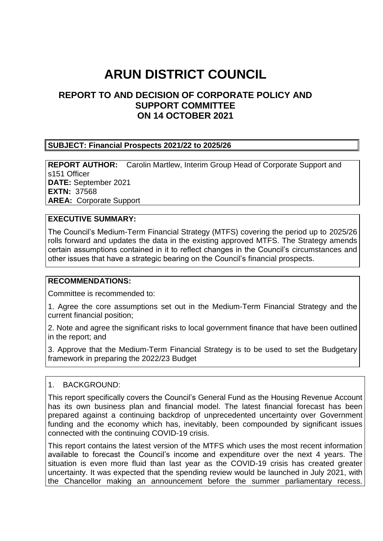# **ARUN DISTRICT COUNCIL**

## **REPORT TO AND DECISION OF CORPORATE POLICY AND SUPPORT COMMITTEE ON 14 OCTOBER 2021**

#### **SUBJECT: Financial Prospects 2021/22 to 2025/26**

**REPORT AUTHOR:** Carolin Martlew, Interim Group Head of Corporate Support and s151 Officer **DATE:** September 2021 **EXTN:** 37568 **AREA:** Corporate Support

#### **EXECUTIVE SUMMARY:**

The Council's Medium-Term Financial Strategy (MTFS) covering the period up to 2025/26 rolls forward and updates the data in the existing approved MTFS. The Strategy amends certain assumptions contained in it to reflect changes in the Council's circumstances and other issues that have a strategic bearing on the Council's financial prospects.

#### **RECOMMENDATIONS:**

Committee is recommended to:

1. Agree the core assumptions set out in the Medium-Term Financial Strategy and the current financial position;

2. Note and agree the significant risks to local government finance that have been outlined in the report; and

3. Approve that the Medium-Term Financial Strategy is to be used to set the Budgetary framework in preparing the 2022/23 Budget

#### 1. BACKGROUND:

This report specifically covers the Council's General Fund as the Housing Revenue Account has its own business plan and financial model. The latest financial forecast has been prepared against a continuing backdrop of unprecedented uncertainty over Government funding and the economy which has, inevitably, been compounded by significant issues connected with the continuing COVID-19 crisis.

This report contains the latest version of the MTFS which uses the most recent information available to forecast the Council's income and expenditure over the next 4 years. The situation is even more fluid than last year as the COVID-19 crisis has created greater uncertainty. It was expected that the spending review would be launched in July 2021, with the Chancellor making an announcement before the summer parliamentary recess.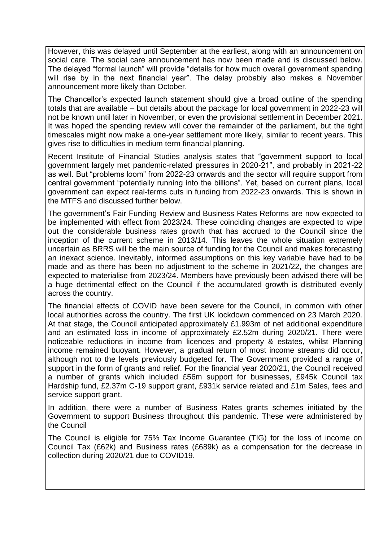However, this was delayed until September at the earliest, along with an announcement on social care. The social care announcement has now been made and is discussed below. The delayed "formal launch" will provide "details for how much overall government spending will rise by in the next financial year". The delay probably also makes a November announcement more likely than October.

The Chancellor's expected launch statement should give a broad outline of the spending totals that are available – but details about the package for local government in 2022-23 will not be known until later in November, or even the provisional settlement in December 2021. It was hoped the spending review will cover the remainder of the parliament, but the tight timescales might now make a one-year settlement more likely, similar to recent years. This gives rise to difficulties in medium term financial planning.

Recent Institute of Financial Studies analysis states that "government support to local government largely met pandemic-related pressures in 2020-21", and probably in 2021-22 as well. But "problems loom" from 2022-23 onwards and the sector will require support from central government "potentially running into the billions". Yet, based on current plans, local government can expect real-terms cuts in funding from 2022-23 onwards. This is shown in the MTFS and discussed further below.

The government's Fair Funding Review and Business Rates Reforms are now expected to be implemented with effect from 2023/24. These coinciding changes are expected to wipe out the considerable business rates growth that has accrued to the Council since the inception of the current scheme in 2013/14. This leaves the whole situation extremely uncertain as BRRS will be the main source of funding for the Council and makes forecasting an inexact science. Inevitably, informed assumptions on this key variable have had to be made and as there has been no adjustment to the scheme in 2021/22, the changes are expected to materialise from 2023/24. Members have previously been advised there will be a huge detrimental effect on the Council if the accumulated growth is distributed evenly across the country.

The financial effects of COVID have been severe for the Council, in common with other local authorities across the country. The first UK lockdown commenced on 23 March 2020. At that stage, the Council anticipated approximately £1.993m of net additional expenditure and an estimated loss in income of approximately £2.52m during 2020/21. There were noticeable reductions in income from licences and property & estates, whilst Planning income remained buoyant. However, a gradual return of most income streams did occur, although not to the levels previously budgeted for. The Government provided a range of support in the form of grants and relief. For the financial year 2020/21, the Council received a number of grants which included £56m support for businesses, £945k Council tax Hardship fund, £2.37m C-19 support grant, £931k service related and £1m Sales, fees and service support grant.

In addition, there were a number of Business Rates grants schemes initiated by the Government to support Business throughout this pandemic. These were administered by the Council

The Council is eligible for 75% Tax Income Guarantee (TIG) for the loss of income on Council Tax (£62k) and Business rates (£689k) as a compensation for the decrease in collection during 2020/21 due to COVID19.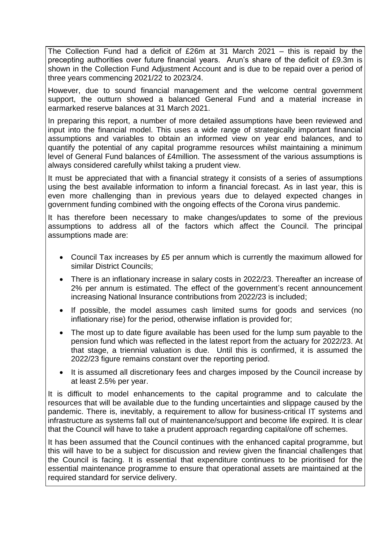The Collection Fund had a deficit of £26m at 31 March 2021 – this is repaid by the precepting authorities over future financial years. Arun's share of the deficit of £9.3m is shown in the Collection Fund Adjustment Account and is due to be repaid over a period of three years commencing 2021/22 to 2023/24.

However, due to sound financial management and the welcome central government support, the outturn showed a balanced General Fund and a material increase in earmarked reserve balances at 31 March 2021.

In preparing this report, a number of more detailed assumptions have been reviewed and input into the financial model. This uses a wide range of strategically important financial assumptions and variables to obtain an informed view on year end balances, and to quantify the potential of any capital programme resources whilst maintaining a minimum level of General Fund balances of £4million. The assessment of the various assumptions is always considered carefully whilst taking a prudent view.

It must be appreciated that with a financial strategy it consists of a series of assumptions using the best available information to inform a financial forecast. As in last year, this is even more challenging than in previous years due to delayed expected changes in government funding combined with the ongoing effects of the Corona virus pandemic.

It has therefore been necessary to make changes/updates to some of the previous assumptions to address all of the factors which affect the Council. The principal assumptions made are:

- Council Tax increases by £5 per annum which is currently the maximum allowed for similar District Councils;
- There is an inflationary increase in salary costs in 2022/23. Thereafter an increase of 2% per annum is estimated. The effect of the government's recent announcement increasing National Insurance contributions from 2022/23 is included;
- If possible, the model assumes cash limited sums for goods and services (no inflationary rise) for the period, otherwise inflation is provided for;
- The most up to date figure available has been used for the lump sum payable to the pension fund which was reflected in the latest report from the actuary for 2022/23. At that stage, a triennial valuation is due. Until this is confirmed, it is assumed the 2022/23 figure remains constant over the reporting period.
- It is assumed all discretionary fees and charges imposed by the Council increase by at least 2.5% per year.

It is difficult to model enhancements to the capital programme and to calculate the resources that will be available due to the funding uncertainties and slippage caused by the pandemic. There is, inevitably, a requirement to allow for business-critical IT systems and infrastructure as systems fall out of maintenance/support and become life expired. It is clear that the Council will have to take a prudent approach regarding capital/one off schemes.

It has been assumed that the Council continues with the enhanced capital programme, but this will have to be a subject for discussion and review given the financial challenges that the Council is facing. It is essential that expenditure continues to be prioritised for the essential maintenance programme to ensure that operational assets are maintained at the required standard for service delivery.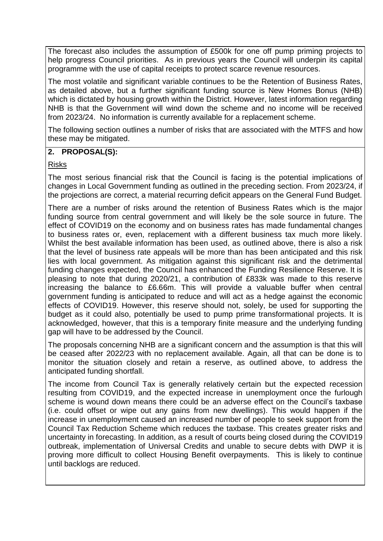The forecast also includes the assumption of £500k for one off pump priming projects to help progress Council priorities. As in previous years the Council will underpin its capital programme with the use of capital receipts to protect scarce revenue resources.

The most volatile and significant variable continues to be the Retention of Business Rates, as detailed above, but a further significant funding source is New Homes Bonus (NHB) which is dictated by housing growth within the District. However, latest information regarding NHB is that the Government will wind down the scheme and no income will be received from 2023/24. No information is currently available for a replacement scheme.

The following section outlines a number of risks that are associated with the MTFS and how these may be mitigated.

#### **2. PROPOSAL(S):**

#### Risks

The most serious financial risk that the Council is facing is the potential implications of changes in Local Government funding as outlined in the preceding section. From 2023/24, if the projections are correct, a material recurring deficit appears on the General Fund Budget.

There are a number of risks around the retention of Business Rates which is the major funding source from central government and will likely be the sole source in future. The effect of COVID19 on the economy and on business rates has made fundamental changes to business rates or, even, replacement with a different business tax much more likely. Whilst the best available information has been used, as outlined above, there is also a risk that the level of business rate appeals will be more than has been anticipated and this risk lies with local government. As mitigation against this significant risk and the detrimental funding changes expected, the Council has enhanced the Funding Resilience Reserve. It is pleasing to note that during 2020/21, a contribution of £833k was made to this reserve increasing the balance to £6.66m. This will provide a valuable buffer when central government funding is anticipated to reduce and will act as a hedge against the economic effects of COVID19. However, this reserve should not, solely, be used for supporting the budget as it could also, potentially be used to pump prime transformational projects. It is acknowledged, however, that this is a temporary finite measure and the underlying funding gap will have to be addressed by the Council.

The proposals concerning NHB are a significant concern and the assumption is that this will be ceased after 2022/23 with no replacement available. Again, all that can be done is to monitor the situation closely and retain a reserve, as outlined above, to address the anticipated funding shortfall.

The income from Council Tax is generally relatively certain but the expected recession resulting from COVID19, and the expected increase in unemployment once the furlough scheme is wound down means there could be an adverse effect on the Council's taxbase (i.e. could offset or wipe out any gains from new dwellings). This would happen if the increase in unemployment caused an increased number of people to seek support from the Council Tax Reduction Scheme which reduces the taxbase. This creates greater risks and uncertainty in forecasting. In addition, as a result of courts being closed during the COVID19 outbreak, implementation of Universal Credits and unable to secure debts with DWP it is proving more difficult to collect Housing Benefit overpayments. This is likely to continue until backlogs are reduced.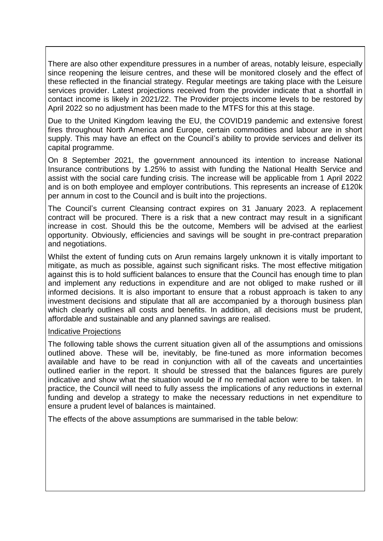There are also other expenditure pressures in a number of areas, notably leisure, especially since reopening the leisure centres, and these will be monitored closely and the effect of these reflected in the financial strategy. Regular meetings are taking place with the Leisure services provider. Latest projections received from the provider indicate that a shortfall in contact income is likely in 2021/22. The Provider projects income levels to be restored by April 2022 so no adjustment has been made to the MTFS for this at this stage.

Due to the United Kingdom leaving the EU, the COVID19 pandemic and extensive forest fires throughout North America and Europe, certain commodities and labour are in short supply. This may have an effect on the Council's ability to provide services and deliver its capital programme.

On 8 September 2021, the government announced its intention to increase National Insurance contributions by 1.25% to assist with funding the National Health Service and assist with the social care funding crisis. The increase will be applicable from 1 April 2022 and is on both employee and employer contributions. This represents an increase of £120k per annum in cost to the Council and is built into the projections.

The Council's current Cleansing contract expires on 31 January 2023. A replacement contract will be procured. There is a risk that a new contract may result in a significant increase in cost. Should this be the outcome, Members will be advised at the earliest opportunity. Obviously, efficiencies and savings will be sought in pre-contract preparation and negotiations.

Whilst the extent of funding cuts on Arun remains largely unknown it is vitally important to mitigate, as much as possible, against such significant risks. The most effective mitigation against this is to hold sufficient balances to ensure that the Council has enough time to plan and implement any reductions in expenditure and are not obliged to make rushed or ill informed decisions. It is also important to ensure that a robust approach is taken to any investment decisions and stipulate that all are accompanied by a thorough business plan which clearly outlines all costs and benefits. In addition, all decisions must be prudent, affordable and sustainable and any planned savings are realised.

#### Indicative Projections

The following table shows the current situation given all of the assumptions and omissions outlined above. These will be, inevitably, be fine-tuned as more information becomes available and have to be read in conjunction with all of the caveats and uncertainties outlined earlier in the report. It should be stressed that the balances figures are purely indicative and show what the situation would be if no remedial action were to be taken. In practice, the Council will need to fully assess the implications of any reductions in external funding and develop a strategy to make the necessary reductions in net expenditure to ensure a prudent level of balances is maintained.

The effects of the above assumptions are summarised in the table below: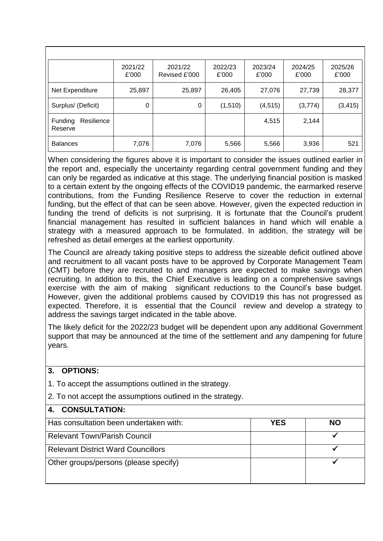|                                  | 2021/22<br>£'000 | 2021/22<br>Revised £'000 | 2022/23<br>£'000 | 2023/24<br>£'000 | 2024/25<br>£'000 | 2025/26<br>£'000 |
|----------------------------------|------------------|--------------------------|------------------|------------------|------------------|------------------|
| Net Expenditure                  | 25,897           | 25,897                   | 26,405           | 27,076           | 27,739           | 28,377           |
| Surplus/ (Deficit)               | 0                | 0                        | (1, 510)         | (4, 515)         | (3, 774)         | (3, 415)         |
| Resilience<br>Funding<br>Reserve |                  |                          |                  | 4,515            | 2,144            |                  |
| <b>Balances</b>                  | 7,076            | 7,076                    | 5,566            | 5,566            | 3,936            | 521              |

When considering the figures above it is important to consider the issues outlined earlier in the report and, especially the uncertainty regarding central government funding and they can only be regarded as indicative at this stage. The underlying financial position is masked to a certain extent by the ongoing effects of the COVID19 pandemic, the earmarked reserve contributions, from the Funding Resilience Reserve to cover the reduction in external funding, but the effect of that can be seen above. However, given the expected reduction in funding the trend of deficits is not surprising. It is fortunate that the Council's prudent financial management has resulted in sufficient balances in hand which will enable a strategy with a measured approach to be formulated. In addition, the strategy will be refreshed as detail emerges at the earliest opportunity.

The Council are already taking positive steps to address the sizeable deficit outlined above and recruitment to all vacant posts have to be approved by Corporate Management Team (CMT) before they are recruited to and managers are expected to make savings when recruiting. In addition to this, the Chief Executive is leading on a comprehensive savings exercise with the aim of making significant reductions to the Council's base budget. However, given the additional problems caused by COVID19 this has not progressed as expected. Therefore, it is essential that the Council review and develop a strategy to address the savings target indicated in the table above.

The likely deficit for the 2022/23 budget will be dependent upon any additional Government support that may be announced at the time of the settlement and any dampening for future years.

**3. OPTIONS:**

| 1. To accept the assumptions outlined in the strategy.     |            |           |
|------------------------------------------------------------|------------|-----------|
| 2. To not accept the assumptions outlined in the strategy. |            |           |
| <b>CONSULTATION:</b><br>$4_{-}$                            |            |           |
| Has consultation been undertaken with:                     | <b>YES</b> | <b>NO</b> |
| <b>Relevant Town/Parish Council</b>                        |            |           |
| <b>Relevant District Ward Councillors</b>                  |            |           |
| Other groups/persons (please specify)                      |            |           |
|                                                            |            |           |